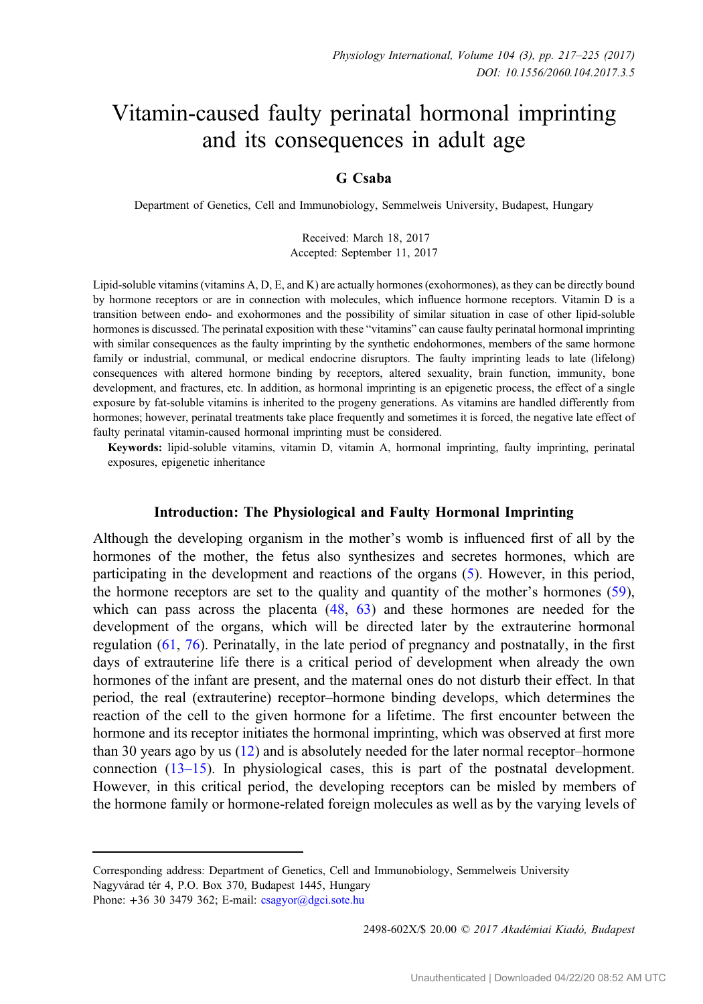# Vitamin-caused faulty perinatal hormonal imprinting and its consequences in adult age

# G Csaba

Department of Genetics, Cell and Immunobiology, Semmelweis University, Budapest, Hungary

Received: March 18, 2017 Accepted: September 11, 2017

Lipid-soluble vitamins (vitamins A, D, E, and K) are actually hormones (exohormones), as they can be directly bound by hormone receptors or are in connection with molecules, which influence hormone receptors. Vitamin D is a transition between endo- and exohormones and the possibility of similar situation in case of other lipid-soluble hormones is discussed. The perinatal exposition with these "vitamins" can cause faulty perinatal hormonal imprinting with similar consequences as the faulty imprinting by the synthetic endohormones, members of the same hormone family or industrial, communal, or medical endocrine disruptors. The faulty imprinting leads to late (lifelong) consequences with altered hormone binding by receptors, altered sexuality, brain function, immunity, bone development, and fractures, etc. In addition, as hormonal imprinting is an epigenetic process, the effect of a single exposure by fat-soluble vitamins is inherited to the progeny generations. As vitamins are handled differently from hormones; however, perinatal treatments take place frequently and sometimes it is forced, the negative late effect of faulty perinatal vitamin-caused hormonal imprinting must be considered.

Keywords: lipid-soluble vitamins, vitamin D, vitamin A, hormonal imprinting, faulty imprinting, perinatal exposures, epigenetic inheritance

# Introduction: The Physiological and Faulty Hormonal Imprinting

Although the developing organism in the mother's womb is influenced first of all by the hormones of the mother, the fetus also synthesizes and secretes hormones, which are participating in the development and reactions of the organs [\(5](#page-5-0)). However, in this period, the hormone receptors are set to the quality and quantity of the mother's hormones [\(59](#page-7-0)), which can pass across the placenta  $(48, 63)$  $(48, 63)$  $(48, 63)$  $(48, 63)$  and these hormones are needed for the development of the organs, which will be directed later by the extrauterine hormonal regulation ([61,](#page-7-0) [76](#page-8-0)). Perinatally, in the late period of pregnancy and postnatally, in the first days of extrauterine life there is a critical period of development when already the own hormones of the infant are present, and the maternal ones do not disturb their effect. In that period, the real (extrauterine) receptor–hormone binding develops, which determines the reaction of the cell to the given hormone for a lifetime. The first encounter between the hormone and its receptor initiates the hormonal imprinting, which was observed at first more than 30 years ago by us ([12\)](#page-5-0) and is absolutely needed for the later normal receptor–hormone connection [\(13](#page-6-0)–15). In physiological cases, this is part of the postnatal development. However, in this critical period, the developing receptors can be misled by members of the hormone family or hormone-related foreign molecules as well as by the varying levels of

2498-602X/\$ 20.00 C 2017 Akadémiai Kiadó, Budapest

Corresponding address: Department of Genetics, Cell and Immunobiology, Semmelweis University Nagyvárad tér 4, P.O. Box 370, Budapest 1445, Hungary

Phone:  $+36$  30 3479 362; E-mail: [csagyor@dgci.sote.hu](mailto:csagyor@dgci.sote.hu)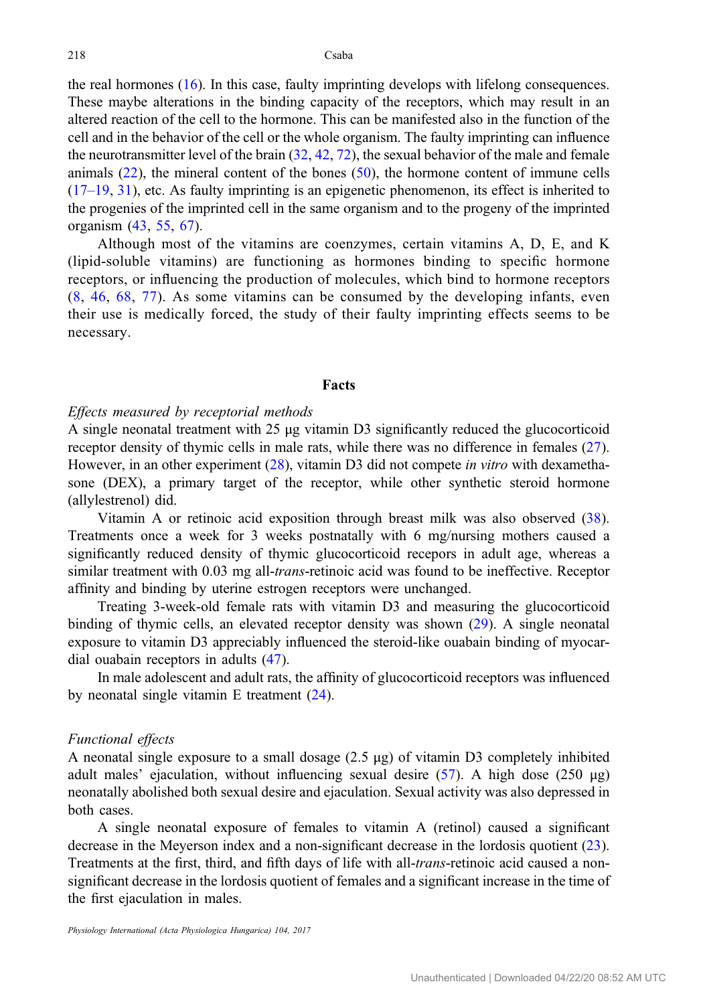the real hormones ([16\)](#page-6-0). In this case, faulty imprinting develops with lifelong consequences. These maybe alterations in the binding capacity of the receptors, which may result in an altered reaction of the cell to the hormone. This can be manifested also in the function of the cell and in the behavior of the cell or the whole organism. The faulty imprinting can influence the neurotransmitter level of the brain  $(32, 42, 72)$  $(32, 42, 72)$  $(32, 42, 72)$  $(32, 42, 72)$  $(32, 42, 72)$  $(32, 42, 72)$ , the sexual behavior of the male and female animals  $(22)$  $(22)$ , the mineral content of the bones  $(50)$  $(50)$ , the hormone content of immune cells [\(17](#page-6-0)–19, [31\)](#page-6-0), etc. As faulty imprinting is an epigenetic phenomenon, its effect is inherited to the progenies of the imprinted cell in the same organism and to the progeny of the imprinted organism ([43,](#page-7-0) [55,](#page-7-0) [67\)](#page-8-0).

Although most of the vitamins are coenzymes, certain vitamins A, D, E, and K (lipid-soluble vitamins) are functioning as hormones binding to specific hormone receptors, or influencing the production of molecules, which bind to hormone receptors [\(8,](#page-5-0) [46,](#page-7-0) [68](#page-8-0), [77](#page-8-0)). As some vitamins can be consumed by the developing infants, even their use is medically forced, the study of their faulty imprinting effects seems to be necessary.

#### Facts

# Effects measured by receptorial methods

A single neonatal treatment with 25 μg vitamin D3 significantly reduced the glucocorticoid receptor density of thymic cells in male rats, while there was no difference in females [\(27](#page-6-0)). However, in an other experiment ([28\)](#page-6-0), vitamin D3 did not compete *in vitro* with dexamethasone (DEX), a primary target of the receptor, while other synthetic steroid hormone (allylestrenol) did.

Vitamin A or retinoic acid exposition through breast milk was also observed [\(38](#page-6-0)). Treatments once a week for 3 weeks postnatally with 6 mg/nursing mothers caused a significantly reduced density of thymic glucocorticoid recepors in adult age, whereas a similar treatment with 0.03 mg all-*trans*-retinoic acid was found to be ineffective. Receptor affinity and binding by uterine estrogen receptors were unchanged.

Treating 3-week-old female rats with vitamin D3 and measuring the glucocorticoid binding of thymic cells, an elevated receptor density was shown ([29\)](#page-6-0). A single neonatal exposure to vitamin D3 appreciably influenced the steroid-like ouabain binding of myocardial ouabain receptors in adults ([47\)](#page-7-0).

In male adolescent and adult rats, the affinity of glucocorticoid receptors was influenced by neonatal single vitamin E treatment [\(24\)](#page-6-0).

#### Functional effects

A neonatal single exposure to a small dosage (2.5 μg) of vitamin D3 completely inhibited adult males' ejaculation, without influencing sexual desire ([57\)](#page-7-0). A high dose (250  $\mu$ g) neonatally abolished both sexual desire and ejaculation. Sexual activity was also depressed in both cases.

A single neonatal exposure of females to vitamin A (retinol) caused a significant decrease in the Meyerson index and a non-significant decrease in the lordosis quotient [\(23](#page-6-0)). Treatments at the first, third, and fifth days of life with all-trans-retinoic acid caused a nonsignificant decrease in the lordosis quotient of females and a significant increase in the time of the first ejaculation in males.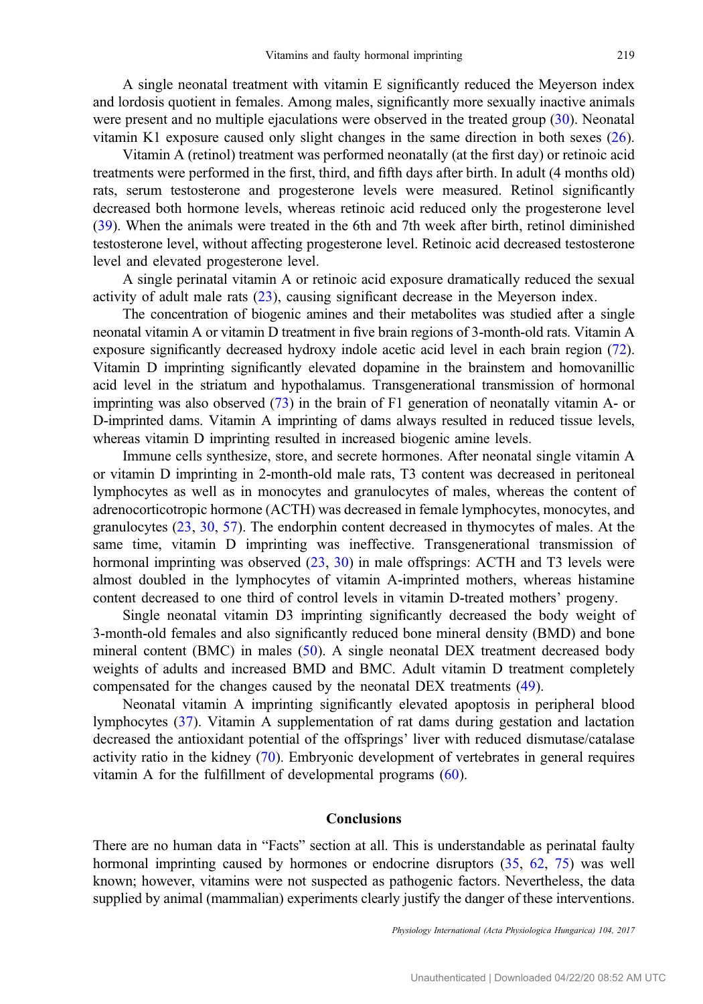A single neonatal treatment with vitamin E significantly reduced the Meyerson index and lordosis quotient in females. Among males, significantly more sexually inactive animals were present and no multiple ejaculations were observed in the treated group ([30\)](#page-6-0). Neonatal vitamin K1 exposure caused only slight changes in the same direction in both sexes [\(26](#page-6-0)).

Vitamin A (retinol) treatment was performed neonatally (at the first day) or retinoic acid treatments were performed in the first, third, and fifth days after birth. In adult (4 months old) rats, serum testosterone and progesterone levels were measured. Retinol significantly decreased both hormone levels, whereas retinoic acid reduced only the progesterone level [\(39](#page-6-0)). When the animals were treated in the 6th and 7th week after birth, retinol diminished testosterone level, without affecting progesterone level. Retinoic acid decreased testosterone level and elevated progesterone level.

A single perinatal vitamin A or retinoic acid exposure dramatically reduced the sexual activity of adult male rats ([23\)](#page-6-0), causing significant decrease in the Meyerson index.

The concentration of biogenic amines and their metabolites was studied after a single neonatal vitamin A or vitamin D treatment in five brain regions of 3-month-old rats. Vitamin A exposure significantly decreased hydroxy indole acetic acid level in each brain region ([72](#page-8-0)). Vitamin D imprinting significantly elevated dopamine in the brainstem and homovanillic acid level in the striatum and hypothalamus. Transgenerational transmission of hormonal imprinting was also observed  $(73)$  in the brain of F1 generation of neonatally vitamin A- or D-imprinted dams. Vitamin A imprinting of dams always resulted in reduced tissue levels, whereas vitamin D imprinting resulted in increased biogenic amine levels.

Immune cells synthesize, store, and secrete hormones. After neonatal single vitamin A or vitamin D imprinting in 2-month-old male rats, T3 content was decreased in peritoneal lymphocytes as well as in monocytes and granulocytes of males, whereas the content of adrenocorticotropic hormone (ACTH) was decreased in female lymphocytes, monocytes, and granulocytes ([23,](#page-6-0) [30](#page-6-0), [57\)](#page-7-0). The endorphin content decreased in thymocytes of males. At the same time, vitamin D imprinting was ineffective. Transgenerational transmission of hormonal imprinting was observed  $(23, 30)$  $(23, 30)$  $(23, 30)$  $(23, 30)$  in male offsprings: ACTH and T3 levels were almost doubled in the lymphocytes of vitamin A-imprinted mothers, whereas histamine content decreased to one third of control levels in vitamin D-treated mothers' progeny.

Single neonatal vitamin D3 imprinting significantly decreased the body weight of 3-month-old females and also significantly reduced bone mineral density (BMD) and bone mineral content (BMC) in males [\(50](#page-7-0)). A single neonatal DEX treatment decreased body weights of adults and increased BMD and BMC. Adult vitamin D treatment completely compensated for the changes caused by the neonatal DEX treatments ([49\)](#page-7-0).

Neonatal vitamin A imprinting significantly elevated apoptosis in peripheral blood lymphocytes ([37\)](#page-6-0). Vitamin A supplementation of rat dams during gestation and lactation decreased the antioxidant potential of the offsprings' liver with reduced dismutase/catalase activity ratio in the kidney ([70\)](#page-8-0). Embryonic development of vertebrates in general requires vitamin A for the fulfillment of developmental programs ([60](#page-7-0)).

# Conclusions

There are no human data in "Facts" section at all. This is understandable as perinatal faulty hormonal imprinting caused by hormones or endocrine disruptors [\(35,](#page-6-0) [62,](#page-7-0) [75\)](#page-8-0) was well known; however, vitamins were not suspected as pathogenic factors. Nevertheless, the data supplied by animal (mammalian) experiments clearly justify the danger of these interventions.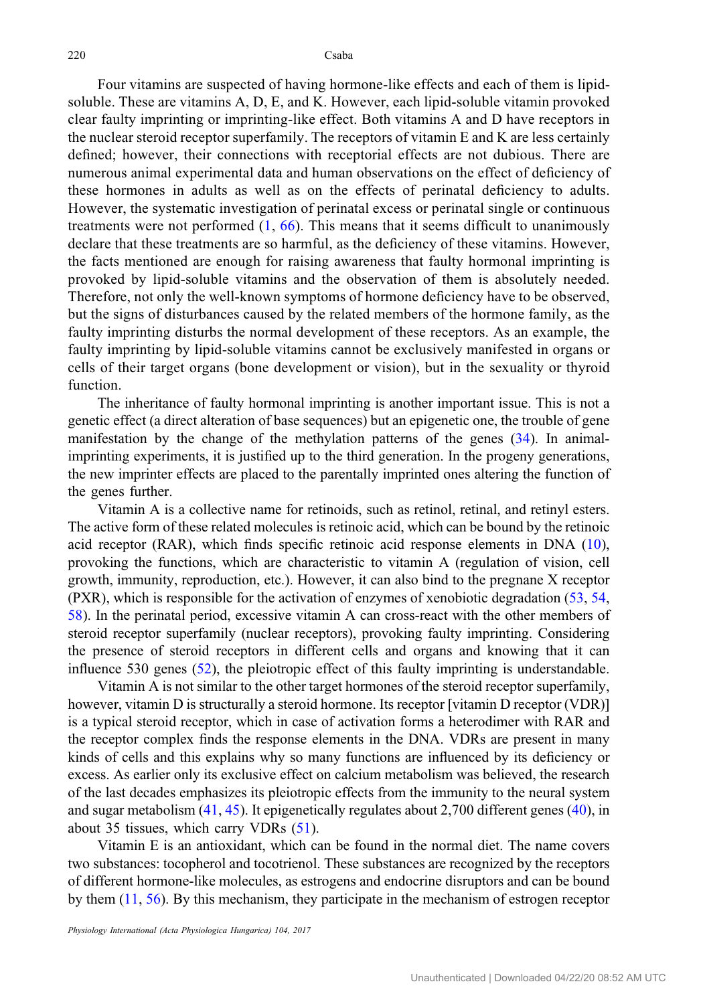Four vitamins are suspected of having hormone-like effects and each of them is lipidsoluble. These are vitamins A, D, E, and K. However, each lipid-soluble vitamin provoked clear faulty imprinting or imprinting-like effect. Both vitamins A and D have receptors in the nuclear steroid receptor superfamily. The receptors of vitamin E and K are less certainly defined; however, their connections with receptorial effects are not dubious. There are numerous animal experimental data and human observations on the effect of deficiency of these hormones in adults as well as on the effects of perinatal deficiency to adults. However, the systematic investigation of perinatal excess or perinatal single or continuous treatments were not performed  $(1, 66)$  $(1, 66)$  $(1, 66)$  $(1, 66)$ . This means that it seems difficult to unanimously declare that these treatments are so harmful, as the deficiency of these vitamins. However, the facts mentioned are enough for raising awareness that faulty hormonal imprinting is provoked by lipid-soluble vitamins and the observation of them is absolutely needed. Therefore, not only the well-known symptoms of hormone deficiency have to be observed, but the signs of disturbances caused by the related members of the hormone family, as the faulty imprinting disturbs the normal development of these receptors. As an example, the faulty imprinting by lipid-soluble vitamins cannot be exclusively manifested in organs or cells of their target organs (bone development or vision), but in the sexuality or thyroid function.

The inheritance of faulty hormonal imprinting is another important issue. This is not a genetic effect (a direct alteration of base sequences) but an epigenetic one, the trouble of gene manifestation by the change of the methylation patterns of the genes [\(34](#page-6-0)). In animalimprinting experiments, it is justified up to the third generation. In the progeny generations, the new imprinter effects are placed to the parentally imprinted ones altering the function of the genes further.

Vitamin A is a collective name for retinoids, such as retinol, retinal, and retinyl esters. The active form of these related molecules is retinoic acid, which can be bound by the retinoic acid receptor (RAR), which finds specific retinoic acid response elements in DNA [\(10](#page-5-0)), provoking the functions, which are characteristic to vitamin A (regulation of vision, cell growth, immunity, reproduction, etc.). However, it can also bind to the pregnane X receptor (PXR), which is responsible for the activation of enzymes of xenobiotic degradation ([53,](#page-7-0) [54,](#page-7-0) [58](#page-7-0)). In the perinatal period, excessive vitamin A can cross-react with the other members of steroid receptor superfamily (nuclear receptors), provoking faulty imprinting. Considering the presence of steroid receptors in different cells and organs and knowing that it can influence 530 genes [\(52](#page-7-0)), the pleiotropic effect of this faulty imprinting is understandable.

Vitamin A is not similar to the other target hormones of the steroid receptor superfamily, however, vitamin D is structurally a steroid hormone. Its receptor [vitamin D receptor (VDR)] is a typical steroid receptor, which in case of activation forms a heterodimer with RAR and the receptor complex finds the response elements in the DNA. VDRs are present in many kinds of cells and this explains why so many functions are influenced by its deficiency or excess. As earlier only its exclusive effect on calcium metabolism was believed, the research of the last decades emphasizes its pleiotropic effects from the immunity to the neural system and sugar metabolism ([41,](#page-7-0) [45\)](#page-7-0). It epigenetically regulates about 2,700 different genes [\(40](#page-7-0)), in about 35 tissues, which carry VDRs ([51\)](#page-7-0).

Vitamin E is an antioxidant, which can be found in the normal diet. The name covers two substances: tocopherol and tocotrienol. These substances are recognized by the receptors of different hormone-like molecules, as estrogens and endocrine disruptors and can be bound by them ([11,](#page-5-0) [56\)](#page-7-0). By this mechanism, they participate in the mechanism of estrogen receptor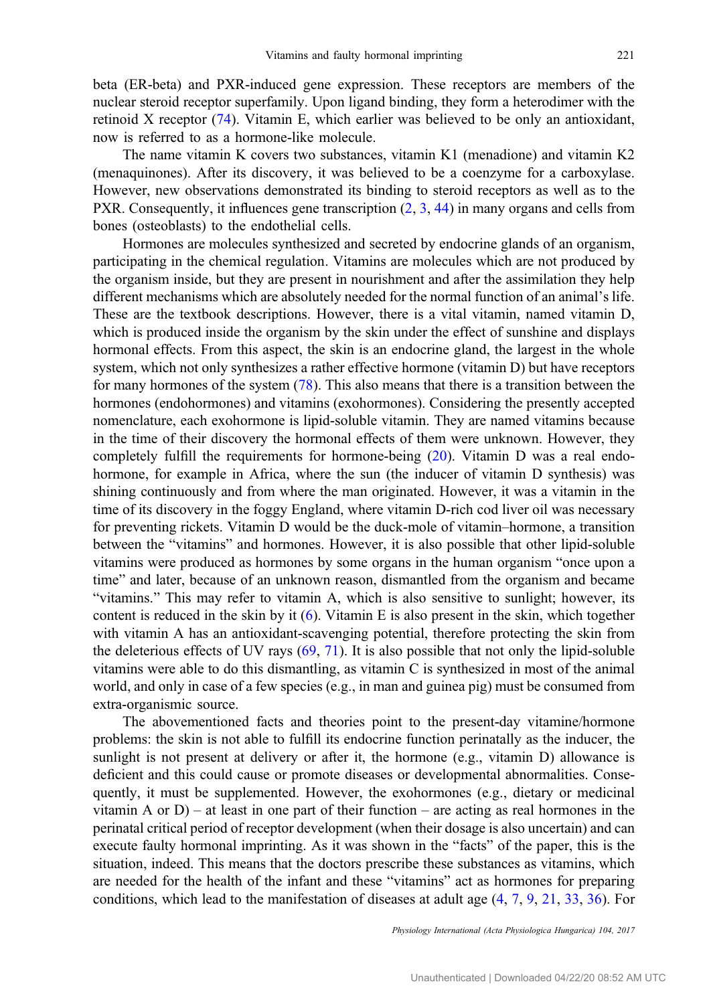beta (ER-beta) and PXR-induced gene expression. These receptors are members of the nuclear steroid receptor superfamily. Upon ligand binding, they form a heterodimer with the retinoid X receptor ([74\)](#page-8-0). Vitamin E, which earlier was believed to be only an antioxidant, now is referred to as a hormone-like molecule.

The name vitamin K covers two substances, vitamin K1 (menadione) and vitamin K2 (menaquinones). After its discovery, it was believed to be a coenzyme for a carboxylase. However, new observations demonstrated its binding to steroid receptors as well as to the PXR. Consequently, it influences gene transcription  $(2, 3, 44)$  $(2, 3, 44)$  $(2, 3, 44)$  $(2, 3, 44)$  $(2, 3, 44)$  $(2, 3, 44)$  in many organs and cells from bones (osteoblasts) to the endothelial cells.

Hormones are molecules synthesized and secreted by endocrine glands of an organism, participating in the chemical regulation. Vitamins are molecules which are not produced by the organism inside, but they are present in nourishment and after the assimilation they help different mechanisms which are absolutely needed for the normal function of an animal's life. These are the textbook descriptions. However, there is a vital vitamin, named vitamin D, which is produced inside the organism by the skin under the effect of sunshine and displays hormonal effects. From this aspect, the skin is an endocrine gland, the largest in the whole system, which not only synthesizes a rather effective hormone (vitamin D) but have receptors for many hormones of the system [\(78](#page-8-0)). This also means that there is a transition between the hormones (endohormones) and vitamins (exohormones). Considering the presently accepted nomenclature, each exohormone is lipid-soluble vitamin. They are named vitamins because in the time of their discovery the hormonal effects of them were unknown. However, they completely fulfill the requirements for hormone-being ([20\)](#page-6-0). Vitamin D was a real endohormone, for example in Africa, where the sun (the inducer of vitamin D synthesis) was shining continuously and from where the man originated. However, it was a vitamin in the time of its discovery in the foggy England, where vitamin D-rich cod liver oil was necessary for preventing rickets. Vitamin D would be the duck-mole of vitamin–hormone, a transition between the "vitamins" and hormones. However, it is also possible that other lipid-soluble vitamins were produced as hormones by some organs in the human organism "once upon a time" and later, because of an unknown reason, dismantled from the organism and became "vitamins." This may refer to vitamin A, which is also sensitive to sunlight; however, its content is reduced in the skin by it  $(6)$  $(6)$ . Vitamin E is also present in the skin, which together with vitamin A has an antioxidant-scavenging potential, therefore protecting the skin from the deleterious effects of UV rays  $(69, 71)$  $(69, 71)$  $(69, 71)$ . It is also possible that not only the lipid-soluble vitamins were able to do this dismantling, as vitamin C is synthesized in most of the animal world, and only in case of a few species (e.g., in man and guinea pig) must be consumed from extra-organismic source.

The abovementioned facts and theories point to the present-day vitamine/hormone problems: the skin is not able to fulfill its endocrine function perinatally as the inducer, the sunlight is not present at delivery or after it, the hormone  $(e.g., vitanin D)$  allowance is deficient and this could cause or promote diseases or developmental abnormalities. Consequently, it must be supplemented. However, the exohormones (e.g., dietary or medicinal vitamin A or  $D$ ) – at least in one part of their function – are acting as real hormones in the perinatal critical period of receptor development (when their dosage is also uncertain) and can execute faulty hormonal imprinting. As it was shown in the "facts" of the paper, this is the situation, indeed. This means that the doctors prescribe these substances as vitamins, which are needed for the health of the infant and these "vitamins" act as hormones for preparing conditions, which lead to the manifestation of diseases at adult age [\(4](#page-5-0), [7,](#page-5-0) [9,](#page-5-0) [21](#page-6-0), [33](#page-6-0), [36\)](#page-6-0). For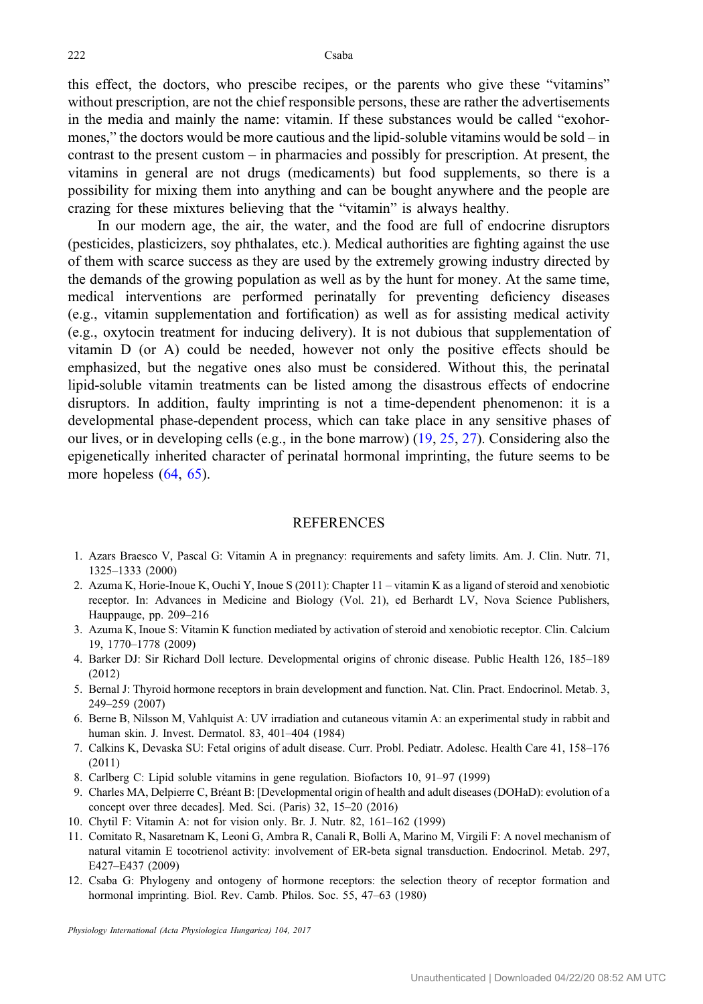<span id="page-5-0"></span>this effect, the doctors, who prescibe recipes, or the parents who give these "vitamins" without prescription, are not the chief responsible persons, these are rather the advertisements in the media and mainly the name: vitamin. If these substances would be called "exohormones," the doctors would be more cautious and the lipid-soluble vitamins would be sold – in contrast to the present custom – in pharmacies and possibly for prescription. At present, the vitamins in general are not drugs (medicaments) but food supplements, so there is a possibility for mixing them into anything and can be bought anywhere and the people are crazing for these mixtures believing that the "vitamin" is always healthy.

In our modern age, the air, the water, and the food are full of endocrine disruptors (pesticides, plasticizers, soy phthalates, etc.). Medical authorities are fighting against the use of them with scarce success as they are used by the extremely growing industry directed by the demands of the growing population as well as by the hunt for money. At the same time, medical interventions are performed perinatally for preventing deficiency diseases (e.g., vitamin supplementation and fortification) as well as for assisting medical activity (e.g., oxytocin treatment for inducing delivery). It is not dubious that supplementation of vitamin D (or A) could be needed, however not only the positive effects should be emphasized, but the negative ones also must be considered. Without this, the perinatal lipid-soluble vitamin treatments can be listed among the disastrous effects of endocrine disruptors. In addition, faulty imprinting is not a time-dependent phenomenon: it is a developmental phase-dependent process, which can take place in any sensitive phases of our lives, or in developing cells (e.g., in the bone marrow) ([19,](#page-6-0) [25](#page-6-0), [27](#page-6-0)). Considering also the epigenetically inherited character of perinatal hormonal imprinting, the future seems to be more hopeless ([64,](#page-7-0) [65\)](#page-7-0).

#### **REFERENCES**

- 1. Azars Braesco V, Pascal G: Vitamin A in pregnancy: requirements and safety limits. Am. J. Clin. Nutr. 71, 1325–1333 (2000)
- 2. Azuma K, Horie-Inoue K, Ouchi Y, Inoue S (2011): Chapter 11 vitamin K as a ligand of steroid and xenobiotic receptor. In: Advances in Medicine and Biology (Vol. 21), ed Berhardt LV, Nova Science Publishers, Hauppauge, pp. 209–216
- 3. Azuma K, Inoue S: Vitamin K function mediated by activation of steroid and xenobiotic receptor. Clin. Calcium 19, 1770–1778 (2009)
- 4. Barker DJ: Sir Richard Doll lecture. Developmental origins of chronic disease. Public Health 126, 185–189 (2012)
- 5. Bernal J: Thyroid hormone receptors in brain development and function. Nat. Clin. Pract. Endocrinol. Metab. 3, 249–259 (2007)
- 6. Berne B, Nilsson M, Vahlquist A: UV irradiation and cutaneous vitamin A: an experimental study in rabbit and human skin. J. Invest. Dermatol. 83, 401–404 (1984)
- 7. Calkins K, Devaska SU: Fetal origins of adult disease. Curr. Probl. Pediatr. Adolesc. Health Care 41, 158–176 (2011)
- 8. Carlberg C: Lipid soluble vitamins in gene regulation. Biofactors 10, 91–97 (1999)
- 9. Charles MA, Delpierre C, Bréant B: [Developmental origin of health and adult diseases (DOHaD): evolution of a concept over three decades]. Med. Sci. (Paris) 32, 15–20 (2016)
- 10. Chytil F: Vitamin A: not for vision only. Br. J. Nutr. 82, 161–162 (1999)
- 11. Comitato R, Nasaretnam K, Leoni G, Ambra R, Canali R, Bolli A, Marino M, Virgili F: A novel mechanism of natural vitamin E tocotrienol activity: involvement of ER-beta signal transduction. Endocrinol. Metab. 297, E427–E437 (2009)
- 12. Csaba G: Phylogeny and ontogeny of hormone receptors: the selection theory of receptor formation and hormonal imprinting. Biol. Rev. Camb. Philos. Soc. 55, 47–63 (1980)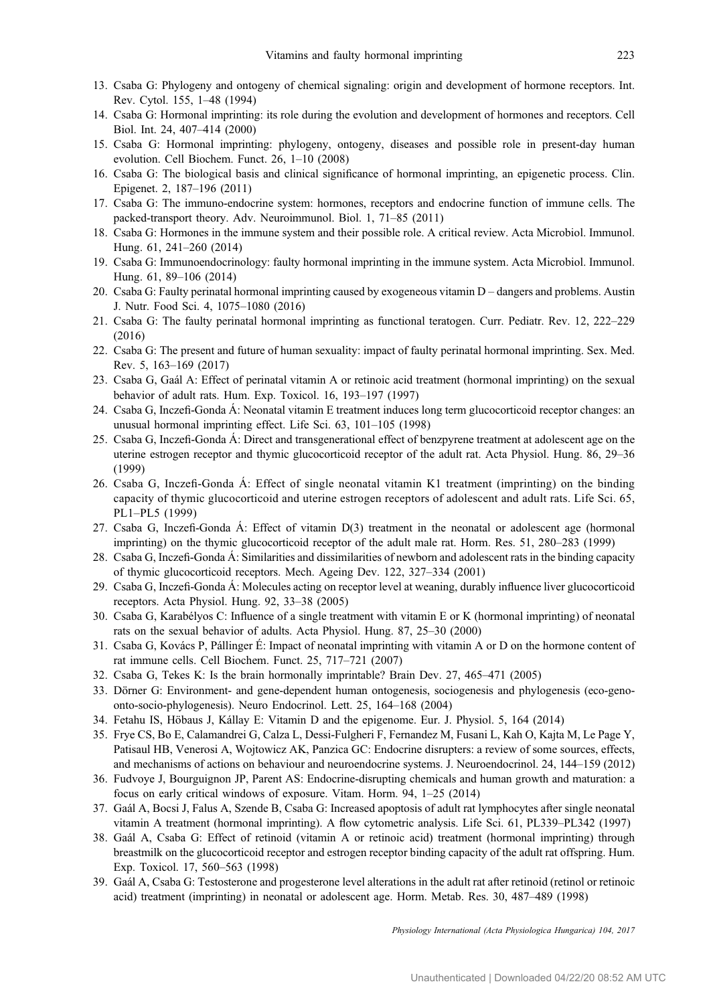- <span id="page-6-0"></span>13. Csaba G: Phylogeny and ontogeny of chemical signaling: origin and development of hormone receptors. Int. Rev. Cytol. 155, 1–48 (1994)
- 14. Csaba G: Hormonal imprinting: its role during the evolution and development of hormones and receptors. Cell Biol. Int. 24, 407–414 (2000)
- 15. Csaba G: Hormonal imprinting: phylogeny, ontogeny, diseases and possible role in present-day human evolution. Cell Biochem. Funct. 26, 1–10 (2008)
- 16. Csaba G: The biological basis and clinical significance of hormonal imprinting, an epigenetic process. Clin. Epigenet. 2, 187–196 (2011)
- 17. Csaba G: The immuno-endocrine system: hormones, receptors and endocrine function of immune cells. The packed-transport theory. Adv. Neuroimmunol. Biol. 1, 71–85 (2011)
- 18. Csaba G: Hormones in the immune system and their possible role. A critical review. Acta Microbiol. Immunol. Hung. 61, 241–260 (2014)
- 19. Csaba G: Immunoendocrinology: faulty hormonal imprinting in the immune system. Acta Microbiol. Immunol. Hung. 61, 89–106 (2014)
- 20. Csaba G: Faulty perinatal hormonal imprinting caused by exogeneous vitamin D dangers and problems. Austin J. Nutr. Food Sci. 4, 1075–1080 (2016)
- 21. Csaba G: The faulty perinatal hormonal imprinting as functional teratogen. Curr. Pediatr. Rev. 12, 222–229 (2016)
- 22. Csaba G: The present and future of human sexuality: impact of faulty perinatal hormonal imprinting. Sex. Med. Rev. 5, 163–169 (2017)
- 23. Csaba G, Gaál A: Effect of perinatal vitamin A or retinoic acid treatment (hormonal imprinting) on the sexual behavior of adult rats. Hum. Exp. Toxicol. 16, 193–197 (1997)
- 24. Csaba G, Inczefi-Gonda Á: Neonatal vitamin E treatment induces long term glucocorticoid receptor changes: an unusual hormonal imprinting effect. Life Sci. 63, 101–105 (1998)
- 25. Csaba G, Inczefi-Gonda Á: Direct and transgenerational effect of benzpyrene treatment at adolescent age on the uterine estrogen receptor and thymic glucocorticoid receptor of the adult rat. Acta Physiol. Hung. 86, 29–36 (1999)
- 26. Csaba G, Inczefi-Gonda Á: Effect of single neonatal vitamin K1 treatment (imprinting) on the binding capacity of thymic glucocorticoid and uterine estrogen receptors of adolescent and adult rats. Life Sci. 65, PL1–PL5 (1999)
- 27. Csaba G, Inczefi-Gonda Á: Effect of vitamin D(3) treatment in the neonatal or adolescent age (hormonal imprinting) on the thymic glucocorticoid receptor of the adult male rat. Horm. Res. 51, 280–283 (1999)
- 28. Csaba G, Inczefi-Gonda Á: Similarities and dissimilarities of newborn and adolescent rats in the binding capacity of thymic glucocorticoid receptors. Mech. Ageing Dev. 122, 327–334 (2001)
- 29. Csaba G, Inczefi-Gonda Á: Molecules acting on receptor level at weaning, durably influence liver glucocorticoid receptors. Acta Physiol. Hung. 92, 33–38 (2005)
- 30. Csaba G, Karabélyos C: Influence of a single treatment with vitamin E or K (hormonal imprinting) of neonatal rats on the sexual behavior of adults. Acta Physiol. Hung. 87, 25–30 (2000)
- 31. Csaba G, Kovács P, Pállinger É: Impact of neonatal imprinting with vitamin A or D on the hormone content of rat immune cells. Cell Biochem. Funct. 25, 717–721 (2007)
- 32. Csaba G, Tekes K: Is the brain hormonally imprintable? Brain Dev. 27, 465–471 (2005)
- 33. Dörner G: Environment- and gene-dependent human ontogenesis, sociogenesis and phylogenesis (eco-genoonto-socio-phylogenesis). Neuro Endocrinol. Lett. 25, 164–168 (2004)
- 34. Fetahu IS, Höbaus J, Kállay E: Vitamin D and the epigenome. Eur. J. Physiol. 5, 164 (2014)
- 35. Frye CS, Bo E, Calamandrei G, Calza L, Dessi-Fulgheri F, Fernandez M, Fusani L, Kah O, Kajta M, Le Page Y, Patisaul HB, Venerosi A, Wojtowicz AK, Panzica GC: Endocrine disrupters: a review of some sources, effects, and mechanisms of actions on behaviour and neuroendocrine systems. J. Neuroendocrinol. 24, 144–159 (2012)
- 36. Fudvoye J, Bourguignon JP, Parent AS: Endocrine-disrupting chemicals and human growth and maturation: a focus on early critical windows of exposure. Vitam. Horm. 94, 1–25 (2014)
- 37. Gaál A, Bocsi J, Falus A, Szende B, Csaba G: Increased apoptosis of adult rat lymphocytes after single neonatal vitamin A treatment (hormonal imprinting). A flow cytometric analysis. Life Sci. 61, PL339–PL342 (1997)
- 38. Gaál A, Csaba G: Effect of retinoid (vitamin A or retinoic acid) treatment (hormonal imprinting) through breastmilk on the glucocorticoid receptor and estrogen receptor binding capacity of the adult rat offspring. Hum. Exp. Toxicol. 17, 560–563 (1998)
- 39. Gaál A, Csaba G: Testosterone and progesterone level alterations in the adult rat after retinoid (retinol or retinoic acid) treatment (imprinting) in neonatal or adolescent age. Horm. Metab. Res. 30, 487–489 (1998)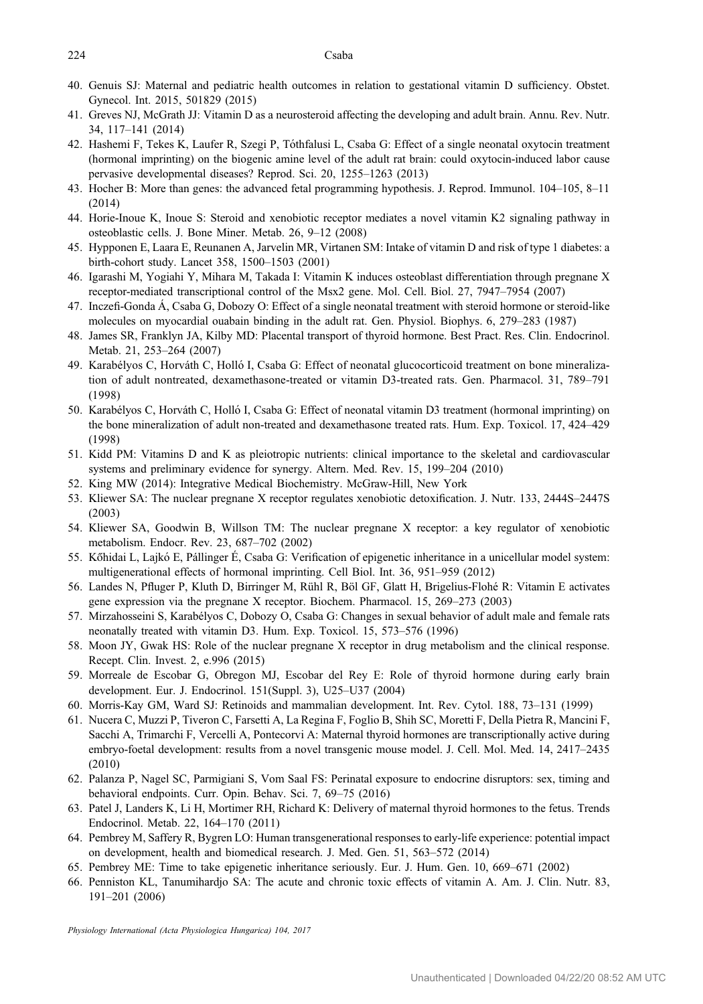#### <span id="page-7-0"></span>224 Csaba

- 40. Genuis SJ: Maternal and pediatric health outcomes in relation to gestational vitamin D sufficiency. Obstet. Gynecol. Int. 2015, 501829 (2015)
- 41. Greves NJ, McGrath JJ: Vitamin D as a neurosteroid affecting the developing and adult brain. Annu. Rev. Nutr. 34, 117–141 (2014)
- 42. Hashemi F, Tekes K, Laufer R, Szegi P, Tóthfalusi L, Csaba G: Effect of a single neonatal oxytocin treatment (hormonal imprinting) on the biogenic amine level of the adult rat brain: could oxytocin-induced labor cause pervasive developmental diseases? Reprod. Sci. 20, 1255–1263 (2013)
- 43. Hocher B: More than genes: the advanced fetal programming hypothesis. J. Reprod. Immunol. 104–105, 8–11 (2014)
- 44. Horie-Inoue K, Inoue S: Steroid and xenobiotic receptor mediates a novel vitamin K2 signaling pathway in osteoblastic cells. J. Bone Miner. Metab. 26, 9–12 (2008)
- 45. Hypponen E, Laara E, Reunanen A, Jarvelin MR, Virtanen SM: Intake of vitamin D and risk of type 1 diabetes: a birth-cohort study. Lancet 358, 1500–1503 (2001)
- 46. Igarashi M, Yogiahi Y, Mihara M, Takada I: Vitamin K induces osteoblast differentiation through pregnane X receptor-mediated transcriptional control of the Msx2 gene. Mol. Cell. Biol. 27, 7947–7954 (2007)
- 47. Inczefi-Gonda Á, Csaba G, Dobozy O: Effect of a single neonatal treatment with steroid hormone or steroid-like molecules on myocardial ouabain binding in the adult rat. Gen. Physiol. Biophys. 6, 279–283 (1987)
- 48. James SR, Franklyn JA, Kilby MD: Placental transport of thyroid hormone. Best Pract. Res. Clin. Endocrinol. Metab. 21, 253–264 (2007)
- 49. Karabélyos C, Horváth C, Holló I, Csaba G: Effect of neonatal glucocorticoid treatment on bone mineralization of adult nontreated, dexamethasone-treated or vitamin D3-treated rats. Gen. Pharmacol. 31, 789–791 (1998)
- 50. Karabélyos C, Horváth C, Holló I, Csaba G: Effect of neonatal vitamin D3 treatment (hormonal imprinting) on the bone mineralization of adult non-treated and dexamethasone treated rats. Hum. Exp. Toxicol. 17, 424–429 (1998)
- 51. Kidd PM: Vitamins D and K as pleiotropic nutrients: clinical importance to the skeletal and cardiovascular systems and preliminary evidence for synergy. Altern. Med. Rev. 15, 199–204 (2010)
- 52. King MW (2014): Integrative Medical Biochemistry. McGraw-Hill, New York
- 53. Kliewer SA: The nuclear pregnane X receptor regulates xenobiotic detoxification. J. Nutr. 133, 2444S–2447S (2003)
- 54. Kliewer SA, Goodwin B, Willson TM: The nuclear pregnane X receptor: a key regulator of xenobiotic metabolism. Endocr. Rev. 23, 687–702 (2002)
- 55. Kőhidai L, Lajkó E, Pállinger É, Csaba G: Verification of epigenetic inheritance in a unicellular model system: multigenerational effects of hormonal imprinting. Cell Biol. Int. 36, 951–959 (2012)
- 56. Landes N, Pfluger P, Kluth D, Birringer M, Rühl R, Böl GF, Glatt H, Brigelius-Flohé R: Vitamin E activates gene expression via the pregnane X receptor. Biochem. Pharmacol. 15, 269–273 (2003)
- 57. Mirzahosseini S, Karabélyos C, Dobozy O, Csaba G: Changes in sexual behavior of adult male and female rats neonatally treated with vitamin D3. Hum. Exp. Toxicol. 15, 573–576 (1996)
- 58. Moon JY, Gwak HS: Role of the nuclear pregnane X receptor in drug metabolism and the clinical response. Recept. Clin. Invest. 2, e.996 (2015)
- 59. Morreale de Escobar G, Obregon MJ, Escobar del Rey E: Role of thyroid hormone during early brain development. Eur. J. Endocrinol. 151(Suppl. 3), U25–U37 (2004)
- 60. Morris-Kay GM, Ward SJ: Retinoids and mammalian development. Int. Rev. Cytol. 188, 73–131 (1999)
- 61. Nucera C, Muzzi P, Tiveron C, Farsetti A, La Regina F, Foglio B, Shih SC, Moretti F, Della Pietra R, Mancini F, Sacchi A, Trimarchi F, Vercelli A, Pontecorvi A: Maternal thyroid hormones are transcriptionally active during embryo-foetal development: results from a novel transgenic mouse model. J. Cell. Mol. Med. 14, 2417–2435 (2010)
- 62. Palanza P, Nagel SC, Parmigiani S, Vom Saal FS: Perinatal exposure to endocrine disruptors: sex, timing and behavioral endpoints. Curr. Opin. Behav. Sci. 7, 69–75 (2016)
- 63. Patel J, Landers K, Li H, Mortimer RH, Richard K: Delivery of maternal thyroid hormones to the fetus. Trends Endocrinol. Metab. 22, 164–170 (2011)
- 64. Pembrey M, Saffery R, Bygren LO: Human transgenerational responses to early-life experience: potential impact on development, health and biomedical research. J. Med. Gen. 51, 563–572 (2014)
- 65. Pembrey ME: Time to take epigenetic inheritance seriously. Eur. J. Hum. Gen. 10, 669–671 (2002)
- 66. Penniston KL, Tanumihardjo SA: The acute and chronic toxic effects of vitamin A. Am. J. Clin. Nutr. 83, 191–201 (2006)